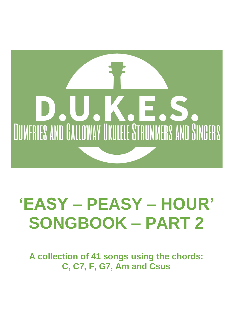

# **'EASY – PEASY – HOUR' SONGBOOK – PART 2**

**A collection of 41 songs using the chords: C, C7, F, G7, Am and Csus**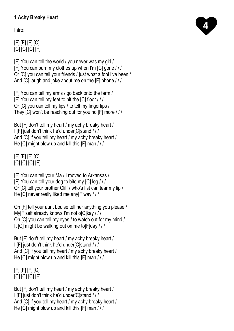# **1 Achy Breaky Heart**

Intro:

# [F] [F] [F] [C] [C] [C] [C] [F]

[F] You can tell the world / you never was my girl / [F] You can burn my clothes up when I'm [C] gone / / / Or [C] you can tell your friends / just what a fool I've been / And [C] laugh and joke about me on the [F] phone / / /

[F] You can tell my arms / go back onto the farm / [F] You can tell my feet to hit the [C] floor / / / Or [C] you can tell my lips / to tell my fingertips / They [C] won't be reaching out for you no [F] more / / /

But [F] don't tell my heart / my achy breaky heart / I [F] just don't think he'd under[C]stand / / / And [C] if you tell my heart / my achy breaky heart / He [C] might blow up and kill this [F] man / / /

[F] [F] [F] [C] [C] [C] [C] [F]

[F] You can tell your Ma / I moved to Arkansas / [F] You can tell your dog to bite my [C] leg / / / Or [C] tell your brother Cliff / who's fist can tear my lip / He [C] never really liked me any[F]way / / /

Oh [F] tell your aunt Louise tell her anything you please / My[F]self already knows I'm not o[C]kay /// Oh [C] you can tell my eyes / to watch out for my mind / It [C] might be walking out on me to [F]day ///

But [F] don't tell my heart / my achy breaky heart / I [F] just don't think he'd under[C]stand / / / And [C] if you tell my heart / my achy breaky heart / He [C] might blow up and kill this [F] man / / /

# [F] [F] [F] [C] [C] [C] [C] [F]

But [F] don't tell my heart / my achy breaky heart / I [F] just don't think he'd under[C]stand / / / And [C] if you tell my heart / my achy breaky heart / He [C] might blow up and kill this [F] man / / /

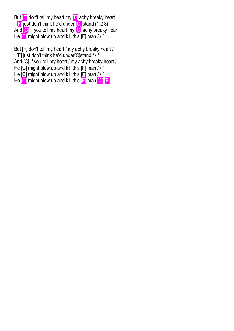But **[F]** don't tell my heart my **[F]** achy breaky heart I **F** just don't think he'd under **[C]** stand (1 2 3) And **[C]** if you tell my heart my **[C]** achy breaky heart He [C] might blow up and kill this [F] man / / /

But [F] don't tell my heart / my achy breaky heart / I [F] just don't think he'd under[C]stand / / / And [C] if you tell my heart / my achy breaky heart / He [C] might blow up and kill this [F] man / / / He  $[C]$  might blow up and kill this  $[F]$  man  $//$ He **C** might blow up and kill this **F** man **C F**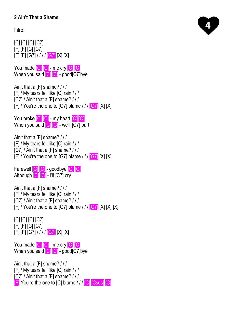# **2 Ain't That a Shame**

Intro:

[C] [C] [C] [C7] [F] [F] [C] [C7] [F] [F] [G7] / / / / [G7] [X] [X]

You made [C] C] - me cry C C C When you said **C C** - good[C7]bye

Ain't that a [F] shame? / / / [F] / My tears fell like [C] rain / / / [C7] / Ain't that a [F] shame? / / /  $[F]$  / You're the one to [G7] blame  $11$  [G7] [X] [X]

You broke **[C] [C]** - my heart **[C] [C]** When you said [C] [C] - we'll [C7] part

Ain't that a [F] shame? / / / [F] / My tears fell like [C] rain / / / [C7] / Ain't that a [F] shame? / / /  $[F]$  / You're the one to [G7] blame  $11$  [G7] [X] [X]

Farewell [C] [C] - goodbye [C] [C] Although  $\overline{[\text{C}]}$   $\overline{[\text{C}]}$  - I'll  $\overline{[\text{C}]}$  cry

Ain't that a [F] shame? / / / [F] / My tears fell like [C] rain / / / [C7] / Ain't that a [F] shame? / / /  $[F]/$  You're the one to [G7] blame  $//$  [G7] [X] [X] [X]

[C] [C] [C] [C7] [F] [F] [C] [C7] [F] [F] [G7] / / / / [G7] [X] [X]

You made **[C] C]** - me cry **[C] [C]** When you said [C] [C] - good[C7]bye

Ain't that a [F] shame? / / / [F] / My tears fell like [C] rain / / / [C7] / Ain't that a [F] shame? / / / **F** You're the one to [C] blame / / / **[C]** [Csus] **[C]** 

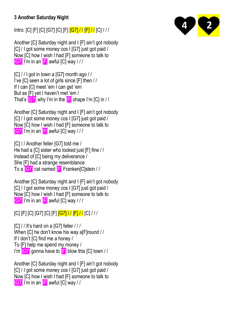# **3 Another Saturday Night**

Intro: [C] [F] [C] [G7] [C] [F] [G7] / / [F] / / [C] / / /

Another [C] Saturday night and I [F] ain't got nobody [C] / I got some money cos I [G7] just got paid / Now [C] how I wish I had [F] someone to talk to  $[G7]$  I'm in an  $[F]$  awful [C] way  $III$ 

[C] / / I got in town a [G7] month ago / / I've [C] seen a lot of girls since [F] then / / If I can [C] meet 'em I can get 'em But as [F] yet I haven't met 'em / That's  $\boxed{G7}$  why I'm in the  $\boxed{F}$  shape I'm  $\boxed{C}$  in //

Another [C] Saturday night and I [F] ain't got nobody [C] / I got some money cos I [G7] just got paid / Now [C] how I wish I had [F] someone to talk to  $[G7]$  I'm in an  $F$  awful  $[Cl$  way  $/$  /  $/$ 

[C] / / Another feller [G7] told me / He had a [C] sister who looked just [F] fine / / Instead of [C] being my deliverance / She [F] had a strange resemblance To a [G7] cat named [F] Franken[C]stein / /

Another [C] Saturday night and I [F] ain't got nobody [C] / I got some money cos I [G7] just got paid / Now [C] how I wish I had [F] someone to talk to [G7] I'm in an [F] awful [C] way / / /

[C] [F] [C] [G7] [C] [F] [G7] / / [F] / / [C] / / /

 $[C]//$  It's hard on a [G7] feller /// When [C] he don't know his way a[F]round / / If I don't [C] find me a honey / To [F] help me spend my money / I'm  $[G7]$  gonna have to  $[F]$  blow this  $[C]$  town //

Another [C] Saturday night and I [F] ain't got nobody [C] / I got some money cos I [G7] just got paid / Now [C] how I wish I had [F] someone to talk to [G7] I'm in an [F] awful [C] way / /

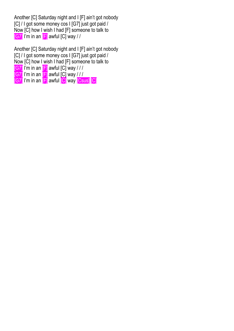Another [C] Saturday night and I [F] ain't got nobody [C] / I got some money cos I [G7] just got paid / Now [C] how I wish I had [F] someone to talk to [G7] I'm in an [F] awful [C] way / /

Another [C] Saturday night and I [F] ain't got nobody [C] / I got some money cos I [G7] just got paid / Now [C] how I wish I had [F] someone to talk to  $[G7]$  I'm in an  $[F]$  awful [C] way / / /  $\overline{[\textsf{G7}]}$  I'm in an  $\overline{[\textsf{F}]}$  awful  $\overline{[\textsf{C}]}$  way /// [G7] I'm in an **[F]** awful **[C]** way **[Csus]** [C]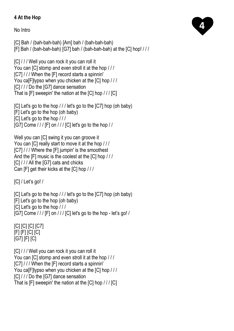# **4 At the Hop**

No Intro

[C] Bah / (bah-bah-bah) [Am] bah / (bah-bah-bah) [F] Bah / (bah-bah-bah) [G7] bah / (bah-bah-bah) at the [C] hop! / / /

[C] / / / Well you can rock it you can roll it You can [C] stomp and even stroll it at the hop / / / [C7] / / / When the [F] record starts a spinnin' You ca[F]lypso when you chicken at the [C] hop / / / [C] / / / Do the [G7] dance sensation That is [F] sweepin' the nation at the [C] hop / / / [C]

[C] Let's go to the hop / / / let's go to the [C7] hop (oh baby) [F] Let's go to the hop (oh baby) [C] Let's go to the hop / / / [G7] Come  $//$  [F] on  $//$  [C] let's go to the hop  $//$ 

Well you can [C] swing it you can groove it You can [C] really start to move it at the hop / / / [C7] / / / Where the [F] jumpin' is the smoothest And the [F] music is the coolest at the [C] hop / / / [C] / / / All the [G7] cats and chicks Can [F] get their kicks at the [C] hop / / /

 $|C|/$  Let's go! /

[C] Let's go to the hop /// let's go to the [C7] hop (oh baby) [F] Let's go to the hop (oh baby) [C] Let's go to the hop / / / [G7] Come / / / [F] on / / / [C] let's go to the hop - let's go! /

[C] [C] [C] [C7] [F] [F] [C] [C] [G7] [F] [C]

[C] / / / Well you can rock it you can roll it You can [C] stomp and even stroll it at the hop / / / [C7] / / / When the [F] record starts a spinnin' You ca[F]lypso when you chicken at the [C] hop / / / [C] / / / Do the [G7] dance sensation That is [F] sweepin' the nation at the [C] hop / / / [C]

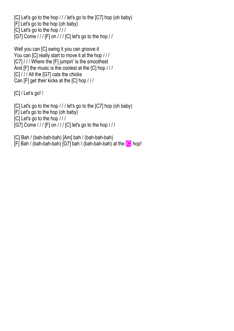[C] Let's go to the hop /// let's go to the [C7] hop (oh baby) [F] Let's go to the hop (oh baby) [C] Let's go to the hop / / / [G7] Come / / / [F] on / / / [C] let's go to the hop / /

Well you can [C] swing it you can groove it You can [C] really start to move it at the hop / / / [C7] / / / Where the [F] jumpin' is the smoothest And [F] the music is the coolest at the [C] hop / / / [C] / / / All the [G7] cats the chicks Can [F] get their kicks at the [C] hop / / /

[C] / Let's go! /

[C] Let's go to the hop /// let's go to the [C7] hop (oh baby) [F] Let's go to the hop (oh baby) [C] Let's go to the hop / / / [G7] Come  $/$  /  $/$  [F] on  $/$   $/$   $/$  [C] let's go to the hop  $/$   $/$   $/$ 

[C] Bah / (bah-bah-bah) [Am] bah / (bah-bah-bah) [F] Bah / (bah-bah-bah) [G7] bah / (bah-bah-bah) at the [C] hop!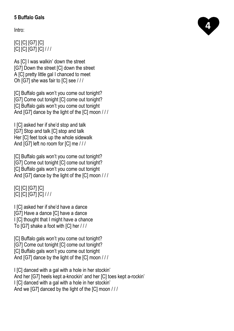# **5 Buffalo Gals**

Intro:

[C] [C] [G7] [C] [C] [C] [G7] [C] / / /

As [C] I was walkin' down the street [G7] Down the street [C] down the street A [C] pretty little gal I chanced to meet Oh [G7] she was fair to [C] see / / /

[C] Buffalo gals won't you come out tonight? [G7] Come out tonight [C] come out tonight? [C] Buffalo gals won't you come out tonight And [G7] dance by the light of the [C] moon / / /

I [C] asked her if she'd stop and talk [G7] Stop and talk [C] stop and talk Her [C] feet took up the whole sidewalk And [G7] left no room for [C] me / / /

[C] Buffalo gals won't you come out tonight? [G7] Come out tonight [C] come out tonight? [C] Buffalo gals won't you come out tonight And [G7] dance by the light of the [C] moon ///

[C] [C] [G7] [C] [C] [C] [G7] [C] / / /

I [C] asked her if she'd have a dance

[G7] Have a dance [C] have a dance I [C] thought that I might have a chance

To [G7] shake a foot with [C] her / / /

[C] Buffalo gals won't you come out tonight? [G7] Come out tonight [C] come out tonight? [C] Buffalo gals won't you come out tonight And [G7] dance by the light of the [C] moon / / /

I [C] danced with a gal with a hole in her stockin' And her [G7] heels kept a-knockin' and her [C] toes kept a-rockin' I [C] danced with a gal with a hole in her stockin' And we [G7] danced by the light of the [C] moon / / /

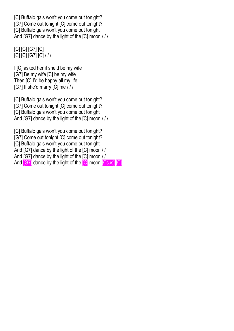[C] Buffalo gals won't you come out tonight? [G7] Come out tonight [C] come out tonight? [C] Buffalo gals won't you come out tonight And [G7] dance by the light of the [C] moon ///

# [C] [C] [G7] [C] [C] [C] [G7] [C] / / /

I [C] asked her if she'd be my wife [G7] Be my wife [C] be my wife Then [C] I'd be happy all my life [G7] If she'd marry [C] me / / /

[C] Buffalo gals won't you come out tonight? [G7] Come out tonight [C] come out tonight? [C] Buffalo gals won't you come out tonight And [G7] dance by the light of the [C] moon ///

[C] Buffalo gals won't you come out tonight? [G7] Come out tonight [C] come out tonight? [C] Buffalo gals won't you come out tonight And [G7] dance by the light of the [C] moon / / And [G7] dance by the light of the [C] moon / / And **[G7]** dance by the light of the **[C]** moon **[Csus]** [C]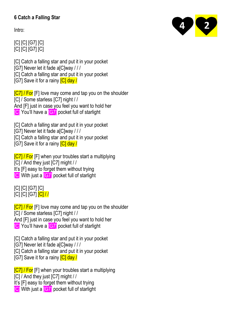# **6 Catch a Falling Star**

Intro:

[C] [C] [G7] [C] [C] [C] [G7] [C]

[C] Catch a falling star and put it in your pocket

[G7] Never let it fade a[C]way / / /

[C] Catch a falling star and put it in your pocket

[G7] Save it for a rainy **[C] day /** 

[C7] / For [F] love may come and tap you on the shoulder [C] / Some starless [C7] night / /

And [F] just in case you feel you want to hold her

**[C]** You'll have a **[G7]** pocket full of starlight

[C] Catch a falling star and put it in your pocket

[G7] Never let it fade a[C]way / / /

[C] Catch a falling star and put it in your pocket

[G7] Save it for a rainy **[C] day /** 

**[C7] / For** [F] when your troubles start a multiplying [C] / And they just [C7] might / / It's [F] easy to forget them without trying **[C]** With just a **[G7]** pocket full of starlight

[C] [C] [G7] [C] [C] [C] [G7] [C] / /

[C7] / For [F] love may come and tap you on the shoulder [C] / Some starless [C7] night / / And [F] just in case you feel you want to hold her **[C]** You'll have a **[G7]** pocket full of starlight

[C] Catch a falling star and put it in your pocket

[G7] Never let it fade a[C]way / / /

[C] Catch a falling star and put it in your pocket

[G7] Save it for a rainy **[C] day /** 

**[C7] / For** [F] when your troubles start a multiplying

[C] / And they just [C7] might / /

It's [F] easy to forget them without trying

**[C]** With just a **[G7]** pocket full of starlight

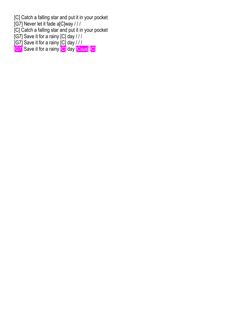[C] Catch a falling star and put it in your pocket

[G7] Never let it fade a[C]way / / /

[C] Catch a falling star and put it in your pocket

- [G7] Save it for a rainy [C] day / / /
- [G7] Save it for a rainy [C] day / / /

[G7] Save it for a rainy <sup>[C]</sup> day <sup>[Csus]</sup> [C]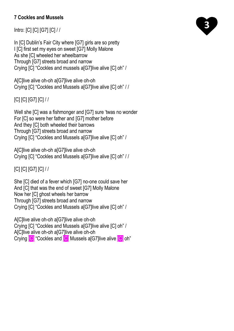## **7 Cockles and Mussels**

Intro: [C] [C] [G7] [C] / /

In [C] Dublin's Fair City where [G7] girls are so pretty I [C] first set my eyes on sweet [G7] Molly Malone As she [C] wheeled her wheelbarrow Through [G7] streets broad and narrow Crying [C] "Cockles and mussels a[G7]live alive [C] oh" /

A[C]live alive oh-oh a[G7]live alive oh-oh Crying [C] "Cockles and Mussels a[G7]live alive [C] oh" / /

[C] [C] [G7] [C] / /

Well she [C] was a fishmonger and [G7] sure 'twas no wonder For [C] so were her father and [G7] mother before And they [C] both wheeled their barrows Through [G7] streets broad and narrow Crying [C] "Cockles and Mussels a[G7]live alive [C] oh" /

A Cllive alive oh-oh a G71 live alive oh-oh Crying [C] "Cockles and Mussels a[G7]live alive [C] oh" / /

[C] [C] [G7] [C] / /

She [C] died of a fever which [G7] no-one could save her And [C] that was the end of sweet [G7] Molly Malone Now her [C] ghost wheels her barrow Through [G7] streets broad and narrow Crying [C] "Cockles and Mussels a[G7]live alive [C] oh" /

A[C]live alive oh-oh a[G7]live alive oh-oh Crying [C] "Cockles and Mussels a[G7]live alive [C] oh" / A[C]live alive oh-oh a[G7]live alive oh-oh Crying [C] "Cockles and [C] Mussels a[G7]live alive [C] oh"

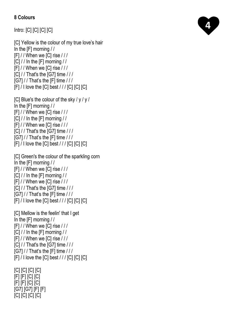## **8 Colours**

Intro: [C] [C] [C] [C]

[C] Yellow is the colour of my true love's hair In the [F] morning / / [F] / / When we [C] rise / / /  $|C|$  / / In the  $|F|$  morning / / [F] / / When we [C] rise / / / [C] / / That's the [G7] time / / / [G7] / / That's the [F] time / / /  $[F] / I$  love the  $[C]$  best  $//$   $[C]$   $[C]$   $[C]$ 

[C] Blue's the colour of the sky /  $y / y / y$ In the [F] morning / /  $[F]/$  / When we  $[C]$  rise  $//$ [C] / / In the [F] morning / /  $[F]/$  / When we  $[C]$  rise  $//$  $|C|$  / / That's the  $|G7|$  time / / / [G7] / / That's the [F] time / / /  $[F]/$  I love the  $[C]$  best  $//$   $[C]$   $[C]$   $[C]$ 

[C] Green's the colour of the sparkling corn In the [F] morning / /  $[F]/$  / When we  $[C]$  rise  $/$  / / [C] / / In the [F] morning / /  $[F]/$  / When we  $[C]$  rise  $/$  / / [C] / / That's the [G7] time / / / [G7] / / That's the [F] time / / /  $[F]$  / I love the  $[C]$  best / / /  $[C]$   $[C]$   $[C]$ 

[C] Mellow is the feelin' that I get In the [F] morning / / [F] / / When we [C] rise / / / [C] / / In the [F] morning / /  $[FI]/$  When we  $[CI$  rise  $//$ [C] / / That's the [G7] time / / / [G7] / / That's the [F] time / / /  $[F] / I$  love the  $[C]$  best  $//$   $[C]$   $[C]$   $[C]$ 

[C] [C] [C] [C] [F] [F] [C] [C] [F] [F] [C] [C] [G7] [G7] [F] [F] [C] [C] [C] [C]

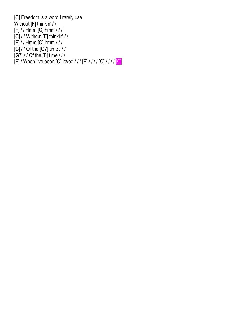[C] Freedom is a word I rarely use Without [F] thinkin' / / [F] / / Hmm [C] hmm / / / [C] / / Without [F] thinkin' / / [F] / / Hmm [C] hmm / / / [C] / / Of the [G7] time / / / [G7] / / Of the [F] time / / / [F] / When I've been [C] loved / / / [F] / / / / [C] / / / / <mark>[C]</mark>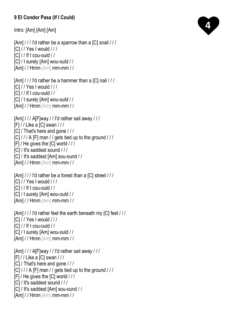# **9 El Condor Pasa (If I Could)**

Intro: [Am] [Am] [Am]

[Am] / / / I'd rather be a sparrow than a [C] snail / / / [C] / / Yes I would / / / [C] / / If I cou-ould / / [C] / I surely [Am] wou-ould / / [Am] / / Hmm [Am] mm-mm / /

```
[Am] / / / I'd rather be a hammer than a [C] nail / / /
[C] / / Yes I would / / /
[C] / / If I cou-ould / /
[C] / I surely [Am] wou-ould / /
[Am] / / Hmm [Am] mm-mm / /
```

```
[Am]//A[F]way / / I'd rather sail away / / /
[F] / / Like a [C] swan / / /
[C] / That's here and gone / / /
[\overline{C}] / / / A [F] man / / gets tied up to the ground / / /
[F] / He gives the [C] world / / /
[C] / It's saddest sound / / /
[C] / It's saddest [Am] sou-ound / / 
[Am] / / Hmm [Am] mm-mm / /
```

```
[Am] / / / I'd rather be a forest than a [C] street / / /
[C] / / Yes I would / / /
[C] / / If I cou-ould / /
[C] / I surely [Am] wou-ould / /
[Am] / / Hmm [Am] mm-mm / /
```

```
[Am] / / / I'd rather feel the earth beneath my [C] feet / / /
[C] / / Yes I would / / /
|C| / / If I cou-ould //
[C] / I surely [Am] wou-ould / /
[Am] / / Hmm [Am] mm-mm / /
```
 $[Am]//A[F]$ way / / I'd rather sail away / / / [F] / / Like a [C] swan / / / [C] / That's here and gone / / /  $[C]///A$  [F] man // gets tied up to the ground /// [F] / He gives the [C] world / / / [C] / It's saddest sound / / / [C] / It's saddest [Am] sou-ound / / [Am] / / Hmm [Am] mm-mm / /

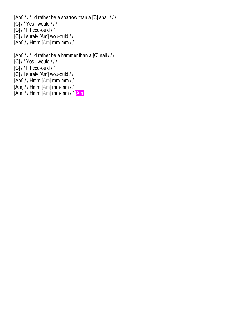[Am]  $\frac{1}{1}$  I'd rather be a sparrow than a [C] snail  $\frac{1}{1}$ [C] / / Yes I would / / /  $[C]$  / / If I cou-ould / / [C] / I surely [Am] wou-ould / / [Am] / / Hmm [Am] mm-mm / /

[Am] / / / I'd rather be a hammer than a [C] nail / / / [C] / / Yes I would / / /  $[C]$  / / If I cou-ould / / [C] / I surely [Am] wou-ould / / [Am] / / Hmm [Am] mm-mm / /  $[Am]//Hmm$   $[Am]$  mm-mm //  $[Am]$  / / Hmm  $[Am]$  mm-mm / /  $[Am]$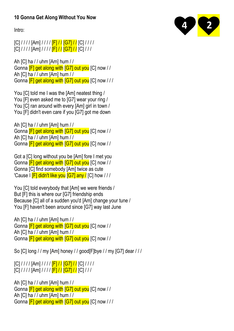## **10 Gonna Get Along Without You Now**

Intro:

# $[C]///[Am]///[F]//[G7]//[C]//$  $[C]///[Am]///[F]//[G7]//[C]/$

Ah [C] ha / / uhm [Am] hum / / Gonna **[F] get along with [G7] out you** [C] now // Ah [C] ha / / uhm [Am] hum / / Gonna **[F] get along with [G7] out you** [C] now ///

You [C] told me I was the [Am] neatest thing / You [F] even asked me to [G7] wear your ring / You [C] ran around with every [Am] girl in town / You [F] didn't even care if you [G7] got me down

Ah [C] ha / / uhm [Am] hum / / Gonna [F] get along with [G7] out you [C] now / / Ah [C] ha / / uhm [Am] hum / / Gonna [F] get along with [G7] out you [C] now / /

Got a [C] long without you be [Am] fore I met you Gonna **[F] get along with [G7] out you** [C] now // Gonna [C] find somebody [Am] twice as cute 'Cause I **[F] didn't like you [G7] any / [C] how** ///

You [C] told everybody that [Am] we were friends / But [F] this is where our [G7] friendship ends Because [C] all of a sudden you'd [Am] change your tune / You [F] haven't been around since [G7] way last June

Ah [C] ha / / uhm [Am] hum / / Gonna **[F] get along with [G7] out you** [C] now // Ah [C] ha / / uhm [Am] hum / / Gonna **[F] get along with [G7] out you** [C] now //

So [C] long / / my [Am] honey / / good[F]bye / / my [G7] dear / / /

 $[C]///[Am]///[F]//[G7]//[C]//$  $\left[\frac{C}{I}\right]$  / / /  $\left[\frac{Am}{I}\right]$  / /  $\left[\frac{F}{I}\right]$  /  $\left[\frac{G7}{I}\right]$  /  $\left[\frac{C}{I}\right]$  / / /

Ah [C] ha / / uhm [Am] hum / / Gonna [F] get along with [G7] out you [C] now / / Ah [C] ha / / uhm [Am] hum / / Gonna **[F] get along with [G7] out you** [C] now ///

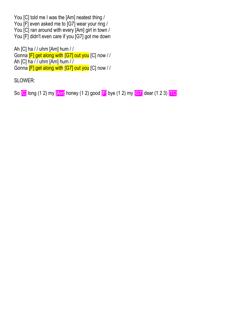You [C] told me I was the [Am] neatest thing / You [F] even asked me to [G7] wear your ring / You [C] ran around with every [Am] girl in town / You [F] didn't even care if you [G7] got me down

Ah [C] ha / / uhm [Am] hum / / Gonna [F] get along with [G7] out you [C] now / / Ah [C] ha / / uhm [Am] hum / / Gonna [F] get along with [G7] out you [C] now / /

SLOWER:

So  $\boxed{C}$  long (1 2) my  $\boxed{Am}$  honey (1 2) good  $\boxed{F}$  bye (1 2) my  $\boxed{GT}$  dear (1 2 3)  $\boxed{TC}$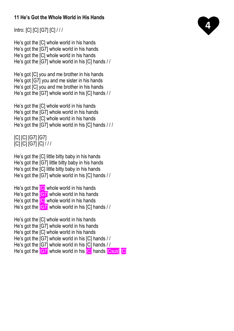## **11 He's Got the Whole World in His Hands**

Intro: [C] [C] [G7] [C] / / /

He's got the [C] whole world in his hands He's got the [G7] whole world in his hands He's got the [C] whole world in his hands He's got the [G7] whole world in his [C] hands / /

He's got [C] you and me brother in his hands He's got [G7] you and me sister in his hands He's got [C] you and me brother in his hands He's got the [G7] whole world in his [C] hands / /

He's got the [C] whole world in his hands He's got the [G7] whole world in his hands He's got the [C] whole world in his hands He's got the [G7] whole world in his [C] hands / / /

[C] [C] [G7] [G7] [C] [C] [G7] [C] / / /

He's got the [C] little bitty baby in his hands He's got the [G7] little bitty baby in his hands He's got the [C] little bitty baby in his hands He's got the [G7] whole world in his [C] hands / /

He's got the  $\overline{C}$  whole world in his hands He's got the **[G7]** whole world in his hands He's got the **[C]** whole world in his hands He's got the  $[67]$  whole world in his  $[C]$  hands  $//$ 

He's got the [C] whole world in his hands He's got the [G7] whole world in his hands He's got the [C] whole world in his hands He's got the [G7] whole world in his [C] hands // He's got the [G7] whole world in his [C] hands / / He's got the **[G7]** whole world in his **[C]** hands **[Csus]** [C]

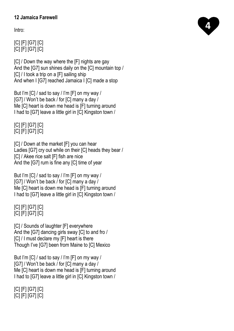## **12 Jamaica Farewell**

Intro:

[C] [F] [G7] [C] [C] [F] [G7] [C]

[C] / Down the way where the [F] nights are gay And the [G7] sun shines daily on the [C] mountain top / [C] / I took a trip on a [F] sailing ship And when I [G7] reached Jamaica I [C] made a stop

But I'm [C] / sad to say / I'm [F] on my way / [G7] / Won't be back / for [C] many a day / Me [C] heart is down me head is [F] turning around I had to [G7] leave a little girl in [C] Kingston town /

[C] [F] [G7] [C] [C] [F] [G7] [C]

[C] / Down at the market [F] you can hear Ladies [G7] cry out while on their [C] heads they bear / [C] / Akee rice salt [F] fish are nice And the [G7] rum is fine any [C] time of year

But I'm [C] / sad to say / I'm [F] on my way / [G7] / Won't be back / for [C] many a day / Me [C] heart is down me head is [F] turning around I had to [G7] leave a little girl in [C] Kingston town /

#### [C] [F] [G7] [C] [C] [F] [G7] [C]

[C] / Sounds of laughter [F] everywhere And the [G7] dancing girls sway [C] to and fro / [C] / I must declare my [F] heart is there Though I've [G7] been from Maine to [C] Mexico

But I'm [C] / sad to say / I'm [F] on my way / [G7] / Won't be back / for [C] many a day / Me [C] heart is down me head is [F] turning around I had to [G7] leave a little girl in [C] Kingston town /

[C] [F] [G7] [C] [C] [F] [G7] [C]

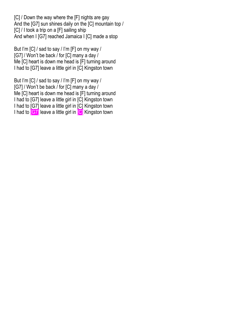[C] / Down the way where the [F] nights are gay And the [G7] sun shines daily on the [C] mountain top / [C] / I took a trip on a [F] sailing ship And when I [G7] reached Jamaica I [C] made a stop

But I'm [C] / sad to say / I'm [F] on my way / [G7] / Won't be back / for [C] many a day / Me [C] heart is down me head is [F] turning around I had to [G7] leave a little girl in [C] Kingston town

But I'm [C] / sad to say / I'm [F] on my way / [G7] / Won't be back / for [C] many a day / Me [C] heart is down me head is [F] turning around I had to [G7] leave a little girl in [C] Kingston town I had to [G7] leave a little girl in [C] Kingston town I had to **[G7]** leave a little girl in **[C]** Kingston town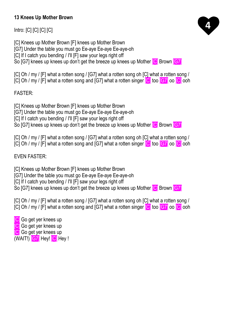#### **13 Knees Up Mother Brown**

Intro: [C] [C] [C] [C]

[C] Knees up Mother Brown [F] knees up Mother Brown

[G7] Under the table you must go Ee-aye Ee-aye Ee-aye-oh

[C] If I catch you bending / I'll [F] saw your legs right off

So [G7] knees up knees up don't get the breeze up knees up Mother **[C]** Brown **[G7]** 

[C] Oh / my / [F] what a rotten song / [G7] what a rotten song oh [C] what a rotten song / [C] Oh / my / [F] what a rotten song and [G7] what a rotten singer [C] too [G7] oo [C] ooh

FASTER:

[C] Knees up Mother Brown [F] knees up Mother Brown

[G7] Under the table you must go Ee-aye Ee-aye Ee-aye-oh

[C] If I catch you bending / I'll [F] saw your legs right off

So [G7] knees up knees up don't get the breeze up knees up Mother **[C]** Brown **[G7]** 

[C] Oh / my / [F] what a rotten song / [G7] what a rotten song oh [C] what a rotten song /

[C] Oh / my / [F] what a rotten song and [G7] what a rotten singer [C] too [G7] oo [C] ooh

EVEN FASTER:

[C] Knees up Mother Brown [F] knees up Mother Brown

[G7] Under the table you must go Ee-aye Ee-aye Ee-aye-oh

[C] If I catch you bending / I'll [F] saw your legs right off

So [G7] knees up knees up don't get the breeze up knees up Mother [C] Brown [G7]

[C] Oh / my / [F] what a rotten song / [G7] what a rotten song oh [C] what a rotten song / [C] Oh / my / [F] what a rotten song and [G7] what a rotten singer [C] too [G7] oo [C] ooh

**C** Go get ver knees up **[C]** Go get yer knees up **[C]** Go get yer knees up (WAIT!) [G7] Hey! [C] Hey !

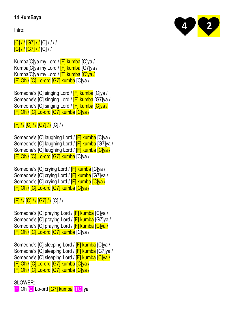#### **14 KumBaya**

Intro:

# [C] / / [G7] / / [C] / / / / [C] / / [G7] / / [C] / /

Kumba[C]ya my Lord / **[F] kumba** [C]ya / Kumba<sub>[C</sub>]ya my Lord / **[F] kumba** [G7]ya / Kumba[C]ya my Lord / **[F] kumba [C]ya /** [F] Oh / [C] Lo-ord [G7] kumba [C]ya /

Someone's [C] singing Lord / **[F] kumba** [C]ya / Someone's [C] singing Lord / [F] kumba [G7]ya / Someone's [C] singing Lord / **[F] kumba [C]ya /** [F] Oh / [C] Lo-ord [G7] kumba [C]ya /

[F] / / [C] / / [G7] / / [C] / /

Someone's [C] laughing Lord / [F] kumba [C]ya / Someone's [C] laughing Lord / [F] kumba [G7]ya / Someone's [C] laughing Lord / **F kumba Clya** / [F] Oh / [C] Lo-ord [G7] kumba [C]ya /

Someone's [C] crying Lord / **[F] kumba** [C]ya / Someone's [C] crying Lord / **[F] kumba** [G7]ya / Someone's [C] crying Lord / **[F] kumba [C]ya /** [F] Oh / [C] Lo-ord [G7] kumba [C]ya /

[F] / / [C] / / [G7] / / [C] / /

Someone's [C] praying Lord / [F] kumba [C]ya / Someone's [C] praying Lord / [F] kumba [G7]ya / Someone's [C] praying Lord / **[F] kumba [C]ya /** [F] Oh / [C] Lo-ord [G7] kumba [C]ya /

Someone's [C] sleeping Lord / **[F] kumba** [C]ya / Someone's [C] sleeping Lord / **[F] kumba** [G7]ya / Someone's [C] sleeping Lord / [F] kumba [C]ya / [F] Oh / [C] Lo-ord [G7] kumba [C]ya / [F] Oh / [C] Lo-ord [G7] kumba [C]ya /

SLOWER<sup>.</sup> [F] Oh [C] Lo-ord [G7] kumba [TC] ya

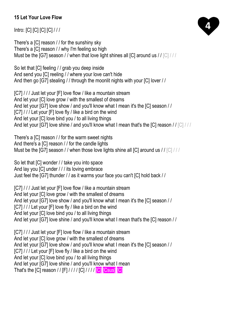## **15 Let Your Love Flow**

Intro: [C] [C] [C] [C] / / /

There's a [C] reason / / for the sunshiny sky There's a [C] reason / / why I'm feeling so high Must be the [G7] season // when that love light shines all [C] around us // [C] ///

So let that [C] feeling / / grab you deep inside And send you [C] reeling / / where your love can't hide And then go [G7] stealing / / through the moonlit nights with your [C] lover / /

[C7] / / / Just let your [F] love flow / like a mountain stream And let your [C] love grow / with the smallest of dreams And let your [G7] love show / and you'll know what I mean it's the [C] season / / [C7] / / / Let your [F] love fly / like a bird on the wind And let your [C] love bind you / to all living things And let your [G7] love shine / and you'll know what I mean that's the [C] reason // [C] / / /

There's a [C] reason / / for the warm sweet nights And there's a [C] reason / / for the candle lights Must be the [G7] season / / when those love lights shine all [C] around us / / [C] / / /

So let that [C] wonder / / take you into space And lay you [C] under / / / its loving embrace Just feel the [G7] thunder / / as it warms your face you can't [C] hold back / /

[C7] / / / Just let your [F] love flow / like a mountain stream And let your [C] love grow / with the smallest of dreams And let your [G7] love show / and you'll know what I mean it's the [C] season / / [C7] / / / Let your [F] love fly / like a bird on the wind And let your [C] love bind you / to all living things And let your [G7] love shine / and you'll know what I mean that's the [C] reason / /

[C7] / / / Just let your [F] love flow / like a mountain stream And let your [C] love grow / with the smallest of dreams And let your [G7] love show / and you'll know what I mean it's the [C] season / / [C7] / / / Let your [F] love fly / like a bird on the wind And let your [C] love bind you / to all living things And let your [G7] love shine / and you'll know what I mean That's the [C] reason / / [F] / / / / [C] / / / / [C] [Csus] [C]

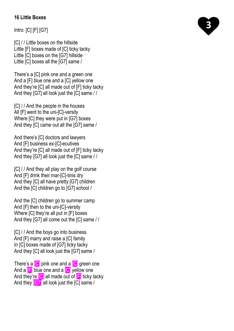#### **16 Little Boxes**

Intro: [C] [F] [G7]

[C] / / Little boxes on the hillside Little [F] boxes made of [C] ticky tacky Little [C] boxes on the [G7] hillside Little [C] boxes all the [G7] same /

There's a [C] pink one and a green one And a [F] blue one and a [C] yellow one And they're [C] all made out of [F] ticky tacky And they [G7] all look just the [C] same / /

[C] / / And the people in the houses All [F] went to the uni-[C]-versity Where [C] they were put in [G7] boxes And they [C] came out all the [G7] same /

And there's [C] doctors and lawyers And [F] business ex-[C]-ecutives And they're [C] all made out of [F] ticky tacky And they [G7] all look just the [C] same / /

[C] / / And they all play on the golf course And [F] drink their mar-[C]-tinis dry And they [C] all have pretty [G7] children And the [C] children go to [G7] school /

And the [C] children go to summer camp And [F] then to the uni-[C]-versity Where [C] they're all put in [F] boxes And they [G7] all come out the [C] same / /

[C] / / And the boys go into business And [F] marry and raise a [C] family In [C] boxes made of [G7] ticky tacky And they [C] all look just the [G7] same /

There's a **C** pink one and a **C** green one And a **F** blue one and a **C** yellow one And they're **[C]** all made out of **F** ticky tacky And they [G7] all look just the [C] same /

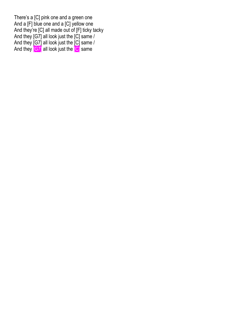There's a [C] pink one and a green one And a [F] blue one and a [C] yellow one And they're [C] all made out of [F] ticky tacky And they [G7] all look just the [C] same / And they [G7] all look just the [C] same / And they  $[G7]$  all look just the  $[G]$  same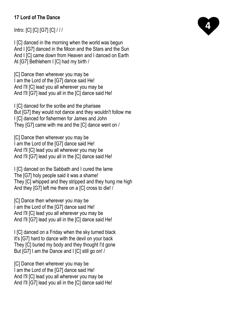## **17 Lord of The Dance**

Intro: [C] [C] [G7] [C] / / /

I [C] danced in the morning when the world was begun And I [G7] danced in the Moon and the Stars and the Sun And I [C] came down from Heaven and I danced on Earth At [G7] Bethlehem I [C] had my birth /

[C] Dance then wherever you may be I am the Lord of the [G7] dance said He! And I'll [C] lead you all wherever you may be And I'll [G7] lead you all in the [C] dance said He!

I ICI danced for the scribe and the pharisee But [G7] they would not dance and they wouldn't follow me I [C] danced for fishermen for James and John They [G7] came with me and the [C] dance went on /

[C] Dance then wherever you may be I am the Lord of the [G7] dance said He! And I'll [C] lead you all wherever you may be And I'll [G7] lead you all in the [C] dance said He!

I [C] danced on the Sabbath and I cured the lame The [G7] holy people said it was a shame! They [C] whipped and they stripped and they hung me high And they [G7] left me there on a [C] cross to die! /

[C] Dance then wherever you may be I am the Lord of the [G7] dance said He! And I'll [C] lead you all wherever you may be And I'll [G7] lead you all in the [C] dance said He!

I [C] danced on a Friday when the sky turned black It's [G7] hard to dance with the devil on your back They [C] buried my body and they thought I'd gone But [G7] I am the Dance and I [C] still go on! /

[C] Dance then wherever you may be I am the Lord of the [G7] dance said He! And I'll [C] lead you all wherever you may be And I'll [G7] lead you all in the [C] dance said He!

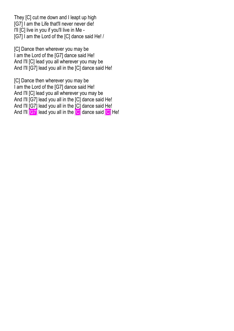They [C] cut me down and I leapt up high [G7] I am the Life that'll never never die! I'll [C] live in you if you'll live in Me - [G7] I am the Lord of the [C] dance said He! /

[C] Dance then wherever you may be I am the Lord of the [G7] dance said He! And I'll [C] lead you all wherever you may be And I'll [G7] lead you all in the [C] dance said He!

[C] Dance then wherever you may be I am the Lord of the [G7] dance said He! And I'll [C] lead you all wherever you may be And I'll [G7] lead you all in the [C] dance said He! And I'll [G7] lead you all in the [C] dance said He! And I'll **[G7]** lead you all in the **[C]** dance said **[C]** He!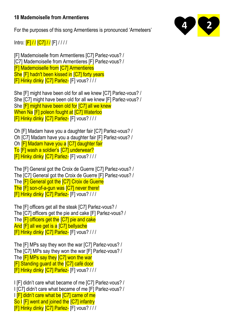#### **18 Mademoiselle from Armentieres**

For the purposes of this song Armentieres is pronounced 'Armeteers'

Intro:  $[F]//[[C7]//[F]/!/$ 

[F] Mademoiselle from Armentieres [C7] Parlez-vous? / [C7] Mademoiselle from Armentieres [F] Parlez-vous? / [F] Mademoiselle from [C7] Armentieres She [F] hadn't been kissed in [C7] forty years [F] Hinky dinky [C7] Parlez- [F] vous? / / /

She [F] might have been old for all we knew [C7] Parlez-vous? / She [C7] might have been old for all we knew [F] Parlez-vous? / She [F] might have been old for [C7] all we knew When Na [F] poleon fought at [C7] Waterloo [F] Hinky dinky [C7] Parlez- [F] vous? / / /

Oh [F] Madam have you a daughter fair [C7] Parlez-vous? / Oh [C7] Madam have you a daughter fair [F] Parlez-vous? / Oh [F] Madam have you a [C7] daughter fair To [F] wash a soldier's [C7] underwear? [F] Hinky dinky [C7] Parlez- [F] vous? / / /

The [F] General got the Croix de Guerre [C7] Parlez-vous? / The [C7] General got the Croix de Guerre [F] Parlez-vous? / The **[F] General got the [C7] Croix de Guerre** The [F] son-of-a-gun was [C7] never there! [F] Hinky dinky [C7] Parlez- [F] vous? / / /

The [F] officers get all the steak [C7] Parlez-vous? / The [C7] officers get the pie and cake [F] Parlez-vous? / The **[F] officers get the [C7] pie and cake** And [F] all we get is a [C7] bellyache [F] Hinky dinky [C7] Parlez- [F] vous? / / /

The [F] MPs say they won the war [C7] Parlez-vous? / The [C7] MPs say they won the war [F] Parlez-vous? / The **[F] MPs say they [C7] won the war** [F] Standing guard at the [C7] café door [F] Hinky dinky [C7] Parlez- [F] vous? / / /

I [F] didn't care what became of me [C7] Parlez-vous? / I [C7] didn't care what became of me [F] Parlez-vous? / I **[F] didn't care what be [C7] came of me** So I [F] went and joined the [C7] infantry [F] Hinky dinky [C7] Parlez- [F] vous? / / /

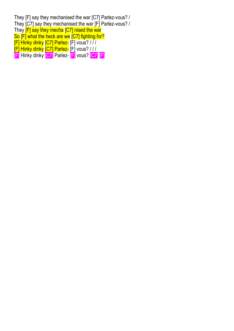They [F] say they mechanised the war [C7] Parlez-vous? / They [C7] say they mechanised the war [F] Parlez-vous? / They **F**] say they mecha **[C7]** nised the war So [F] what the heck are we [C7] fighting for? [F] Hinky dinky [C7] Parlez- [F] vous? / / /  $\overline{[F]}$  Hinky dinky  $\overline{[C7]}$  Parlez- $\overline{[F]}$  vous? /// [F] Hinky dinky [C7] Parlez- [F] vous? [C7] [F]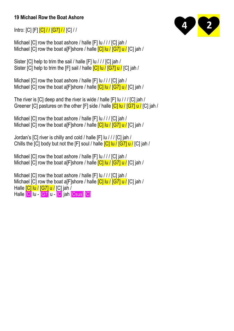#### **19 Michael Row the Boat Ashore**

Intro: [C] [F] [C] / / [G7] / / [C] / /

Michael [C] row the boat ashore / halle [F] lu / / / [C] jah / Michael [C] row the boat a[F]shore / halle  $\overline{C}$ ] lu /  $\overline{G}$ ] u /  $\overline{C}$ ] jah /

Sister [C] help to trim the sail / halle [F] lu / / / [C] jah / Sister [C] help to trim the [F] sail / halle **[C] lu / [G7] u /** [C] jah /

Michael [C] row the boat ashore / halle [F] lu / / / [C] jah / Michael [C] row the boat a[F]shore / halle  $\overline{C}$ ]  $\overline{u}$  /  $\overline{C}$ ]  $\overline{u}$  /  $\overline{C}$ ]  $\overline{a}$  h /

The river is [C] deep and the river is wide / halle [F] lu / / / [C] jah / Greener [C] pastures on the other [F] side / halle **[C] lu / [G7] u /** [C] jah /

Michael [C] row the boat ashore / halle [F] lu / / / [C] jah / Michael [C] row the boat ale Shore / halle **[C] lu / [G7] u /** [C] jah /

Jordan's [C] river is chilly and cold / halle [F] lu / / / [C] jah / Chills the [C] body but not the [F] soul / halle  $\overline{C}$ ]  $\overline{u}$   $\overline{C}$ ]  $\overline{u}$   $\overline{C}$ ]  $\overline{C}$ ]  $\overline{C}$ ]  $\overline{C}$   $\overline{C}$ 

Michael [C] row the boat ashore / halle [F] lu / / / [C] jah / Michael [C] row the boat a[F]shore / halle  $\overline{C}$ ] lu /  $\overline{G}$ <sup>7</sup>] u /  $\overline{C}$ ] iah /

Michael [C] row the boat ashore / halle [F] lu / / / [C] jah / Michael [C] row the boat a[F]shore / halle  $\overline{C}$ ] lu /  $\overline{C}$ ] u /  $\overline{C}$ ] jah / Halle [C] lu / [G7] u / [C] jah / Halle [C] lu - [G7] u - [C] jah [Csus] [C]

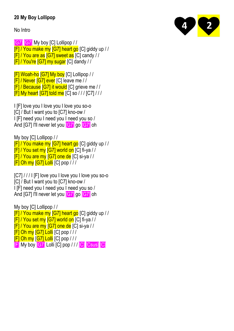## **20 My Boy Lollipop**

#### No Intro

[G7] [G7] My boy [C] Lollipop / / [F] / You make my [G7] heart go [C] giddy up / / [F] / You are as [G7] sweet as [C] candy / / [F] / You're [G7] my sugar [C] dandy / /

[F] Woah-ho [G7] My boy [C] Lollipop / / [F] / Never [G7] ever [C] leave me / / [F] / Because [G7] it would [C] grieve me / / [F] My heart [G7] told me [C] so / / / [C7] / / /

I [F] love you I love you I love you so-o [C] / But I want you to [C7] kno-ow / I [F] need you I need you I need you so / And [G7] I'll never let you **[G7]** go **[G7]** oh

My boy [C] Lollipop / / [F] / You make my [G7] heart go [C] giddy up / / [F] / You set my [G7] world on [C] fi-ya / /  $[F]/$  You are my  $[G7]$  one de [C] si-ya // [F] Oh my [G7] Lolli [C] pop / / /

[C7] / / / I [F] love you I love you I love you so-o [C] / But I want you to [C7] kno-ow / I [F] need you I need you I need you so / And [G7] I'll never let you [G7] go [G7] oh

My boy [C] Lollipop / / [F] / You make my [G7] heart go [C] giddy up / / [F] / You set my [G7] world on [C] fi-ya / / [F] / You are my [G7] one de [C] si-ya / / [F] Oh my [G7] Lolli [C] pop / / / [F] Oh my [G7] Lolli [C] pop / / / [F] My boy [G7] Lolli [C] pop / / / [C] [Csus] [C]

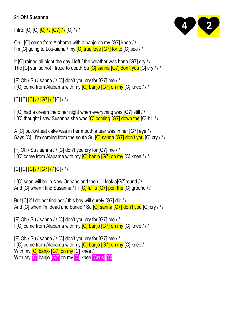#### **21 Oh! Susanna**

Intro: [C] [C]  $\frac{|C|}{|C|}$  /  $\frac{|G7|}{|G7|}$   $\frac{|C|}{|C|}$ 

Oh I [C] come from Alabama with a banjo on my [G7] knee / / I'm [C] going to Lou-siana / my  $\overline{C}$  true love  $\overline{G}$  for to  $\overline{C}$  see //

It [C] rained all night the day I left / the weather was bone [G7] dry / / The [C] sun so hot I froze to death Su **[C] sanna [G7] don't you** [C] cry ///

[F] Oh / Su / sanna / / [C] don't you cry for [G7] me / / I [C] come from Alabama with my  $\overline{C}$ ] banjo  $\overline{G7}$  on my  $\overline{C}$ ] knee ///

 $[C]$   $[C]$   $[C]$   $I$   $I$   $[G7]$   $I$   $I$   $[C]$   $I$   $I$   $I$ 

I [C] had a dream the other night when everything was [G7] still / / I [C] thought I saw Susanna she was **[C] coming [G7] down the** [C] hill //

A [C] buckwheat cake was in her mouth a tear was in her [G7] eye / / Says [C] I I'm coming from the south Su **[C] sanna [G7] don't you** [C] cry ///

[F] Oh / Su / sanna / / [C] don't you cry for [G7] me / / I [C] come from Alabama with my [C] banjo [G7] on my [C] knee / / /

 $[C]$   $[C]$   $[C]$   $I$   $I$   $[G7]$   $I$   $I$   $[C]$   $I$   $I$   $I$ 

I [C] soon will be in New Orleans and then I'll look a[G7]round / / And [C] when I find Susanna / I'll **[C] fall u [G7] pon the** [C] ground / /

But [C] if I do not find her / this boy will surely [G7] die / / And [C] when I'm dead and buried / Su **[C] sanna [G7] don't you** [C] cry / / /

[F] Oh / Su / sanna / / [C] don't you cry for [G7] me / / I [C] come from Alabama with my **[C] banjo [G7] on my** [C] knee ///

[F] Oh / Su / sanna / / [C] don't you cry for [G7] me / / I ICI come from Alabama with my [C] banjo [G7] on my [C] knee / With my **[C] banjo [G7] on my** [C] knee / With my **[C]** banjo **[G7]** on my **[C]** knee **[Csus] [C]** 

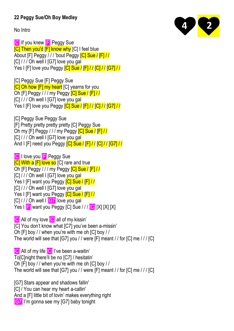## **22 Peggy Sue/Oh Boy Medley**

No Intro

**[C]** If you knew **[F]** Peggy Sue [C] Then you'd [F] know why [C] I feel blue About [F] Peggy / / / 'bout Peggy [C] Sue / [F] / / [C] / / / Oh well I [G7] love you gal Yes I [F] love you Peggy **[C] Sue / [F] / / [C] / / [G7] / /** 

[C] Peggy Sue [F] Peggy Sue **[C] Oh how [F] my heart** [C] yearns for you Oh [F] Peggy / / / my Peggy [C] Sue / [F] / / [C] / / / Oh well I [G7] love you gal Yes I [F] love you Peggy **[C] Sue / [F] / / [C] / / [G7] / /** 

**ICI Peggy Sue Peggy Sue** [F] Pretty pretty pretty pretty [C] Peggy Sue Oh my [F] Peggy / / / my Peggy [C] Sue / [F] / / [C] / / / Oh well I [G7] love you gal And I [F] need you Peggy **[C] Sue / [F] / / [C] / / [G7] / /** 

**[C] I love you <b>[F]** Peggy Sue **[C] With a [F] love so** [C] rare and true Oh [F] Peggy / / / my Peggy **[C] Sue / [F] / /** [C] / / / Oh well I [G7] love you gal Yes I [F] want you Peggy **[C] Sue / [F] / /** [C] / / / Oh well I [G7] love you gal Yes I [F] want you Peggy [C] Sue / [F] / /  $|C|$  / /  $\sqrt{C}$  Oh well  $|\overline{C}$  love you gal Yes I **F** want you Peggy [C] Sue /// **[C]** [X] [X] [X]

**[C]** All of my love **[C]** all of my kissin' [C] You don't know what [C7] you've been a-missin' Oh [F] boy / / when you're with me oh [C] boy / / The world will see that [G7] you / / were [F] meant / / for [C] me / / / [C]

**[C]** All of my life **[C]** I've been a-waitin' To[C]night there'll be no [C7] / hesitatin' Oh [F] boy / / when you're with me oh [C] boy / / The world will see that [G7] you / / were [F] meant / / for [C] me / / / [C]

[G7] Stars appear and shadows fallin'

[C] / You can hear my heart a-callin'

And a [F] little bit of lovin' makes everything right

[G7] I'm gonna see my [G7] baby tonight

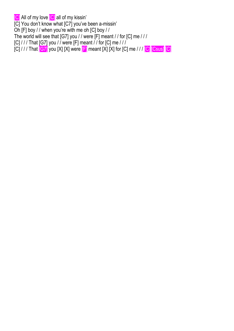[C] All of my love [C] all of my kissin'

[C] You don't know what [C7] you've been a-missin'

Oh [F] boy / / when you're with me oh [C] boy / /

The world will see that [G7] you / / were [F] meant / / for [C] me / / /

[C] / / / That [G7] you / / were [F] meant / / for [C] me / / /

 $[C]$  / / / That  $[G7]$  you  $[X]$   $[X]$  were  $[F]$  meant  $[X]$   $[X]$  for  $[C]$  me / / /  $[C]$   $[C$ sus]  $[C]$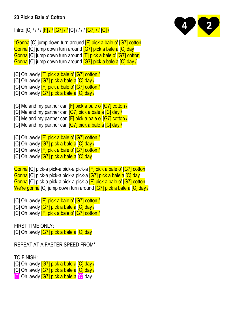#### **23 Pick a Bale o' Cotton**

Intro: [C] / / / / **[F] / / [G7] / /** [C] / / / / **[G7] / / [C] /** 

\*Gonna [C] jump down turn around [F] pick a bale o' [G7] cotton Gonna [C] jump down turn around [G7] pick a bale a [C] day Gonna [C] jump down turn around [F] pick a bale o' [G7] cotton Gonna [C] jump down turn around [G7] pick a bale a [C] day /

[C] Oh lawdy **[F] pick a bale o' [G7] cotton /** 

[C] Oh lawdy **[G7] pick a bale a [C] day /** 

[C] Oh lawdy [F] pick a bale o' [G7] cotton /

[C] Oh lawdy **[G7] pick a bale a [C] day /** 

[C] Me and my partner can [F] pick a bale o' [G7] cotton /

[C] Me and my partner can **[G7] pick a bale a [C] day /** 

[C] Me and my partner can [F] pick a bale o' [G7] cotton /

[C] Me and my partner can **[G7] pick a bale a [C] day /** 

[C] Oh lawdy **[F] pick a bale o' [G7] cotton /** 

[C] Oh lawdy **[G7] pick a bale a [C] day /** 

[C] Oh lawdy **[F] pick a bale o' [G7] cotton /** 

[C] Oh lawdy **[G7] pick a bale a [C] day** 

Gonna [C] pick-a pick-a pick-a pick-a [F] pick a bale o' [G7] cotton Gonna [C] pick-a pick-a pick-a pick-a [G7] pick a bale a [C] day Gonna [C] pick-a pick-a pick-a pick-a [F] pick a bale o' [G7] cotton We're gonna [C] jump down turn around [G7] pick a bale a [C] day /

[C] Oh lawdy **[F] pick a bale o' [G7] cotton /** 

[C] Oh lawdy **[G7] pick a bale a [C] day /** 

[C] Oh lawdy [F] pick a bale o' [G7] cotton /

FIRST TIME ONLY: [C] Oh lawdy **[G7] pick a bale a [C] day** 

REPEAT AT A FASTER SPEED FROM\*

TO FINISH:

[C] Oh lawdy **[G7] pick a bale a [C] day /** 

[C] Oh lawdy **[G7] pick a bale a [C] day /** 

**[C]** Oh lawdy **[G7] pick a bale a [C]** day

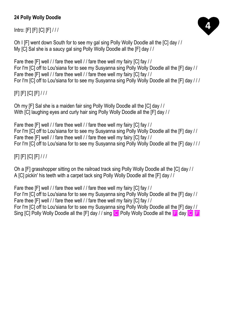# **24 Polly Wolly Doodle**

Intro: [F] [F] [C] [F] / / /



Oh I [F] went down South for to see my gal sing Polly Wolly Doodle all the [C] day / / My [C] Sal she is a saucy gal sing Polly Wolly Doodle all the [F] day / /

Fare thee [F] well / / fare thee well / / fare thee well my fairy [C] fay / / For I'm [C] off to Lou'siana for to see my Susyanna sing Polly Wolly Doodle all the [F] day / / Fare thee [F] well / / fare thee well / / fare thee well my fairy [C] fay / / For I'm [C] off to Lou'siana for to see my Susyanna sing Polly Wolly Doodle all the [F] day / / /

[F] [F] [C] [F] / / /

Oh my [F] Sal she is a maiden fair sing Polly Wolly Doodle all the [C] day / / With [C] laughing eyes and curly hair sing Polly Wolly Doodle all the [F] day //

Fare thee [F] well / / fare thee well / / fare thee well my fairy [C] fay / / For I'm [C] off to Lou'siana for to see my Susyanna sing Polly Wolly Doodle all the [F] day / / Fare thee [F] well / / fare thee well / / fare thee well my fairy [C] fay / / For I'm [C] off to Lou'siana for to see my Susyanna sing Polly Wolly Doodle all the [F] day / / /

# [F] [F] [C] [F] / / /

Oh a [F] grasshopper sitting on the railroad track sing Polly Wolly Doodle all the [C] day / / A [C] pickin' his teeth with a carpet tack sing Polly Wolly Doodle all the [F] day / /

Fare thee [F] well / / fare thee well / / fare thee well my fairy [C] fay / / For I'm [C] off to Lou'siana for to see my Susyanna sing Polly Wolly Doodle all the [F] day / / Fare thee [F] well / / fare thee well / / fare thee well my fairy [C] fay / / For I'm [C] off to Lou'siana for to see my Susyanna sing Polly Wolly Doodle all the [F] day / / Sing [C] Polly Wolly Doodle all the [F] day / / sing **[C]** Polly Wolly Doodle all the **[F]** day **[C] [F]**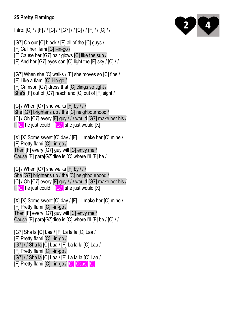## **25 Pretty Flamingo**

Intro: [C] / / [F] / / [C] / / [G7] / / [C] / / [F] / / [C] / /

[G7] On our [C] block / [F] all of the [C] guys /

[F] Call her flami [C] i-in-go /

[F] Cause her [G7] hair glows [C] like the sun /

[F] And her [G7] eyes can [C] light the [F] sky / [C] / /

[G7] When she [C] walks / [F] she moves so [C] fine / [F] Like a flami [C] i-in-go / [F] Crimson [G7] dress that [C] clings so tight / She's [F] out of [G7] reach and [C] out of [F] sight /

[C] / When [C7] she walks [F] by / / / She [G7] brightens up / the [C] neighbourhood / [C] / Oh [C7] every [F] guy / / / would [G7] make her his / If **[C]** he just could if **[G7]** she just would [X]

[X] [X] Some sweet [C] day / [F] I'll make her [C] mine / [F] Pretty flami [C] i-in-go / Then [F] every [G7] guy will [C] envy me / Cause [F] para[G7]dise is [C] where I'll [F] be /

[C] / When [C7] she walks [F] by / / / She [G7] brightens up / the [C] neighbourhood / [C] / Oh [C7] every [F] guy / / / would [G7] make her his / If **[C]** he just could if **[G7]** she just would [X]

[X] [X] Some sweet [C] day / [F] I'll make her [C] mine / [F] Pretty flami [C] i-in-go / Then [F] every [G7] guy will [C] envy me / Cause [F] para[G7]dise is [C] where I'll [F] be / [C] / /

[G7] Sha la [C] Laa / [F] La la la [C] Laa / [F] Pretty flami [C] i-in-go / [G7] / / Sha la [C] Laa / [F] La la la [C] Laa / [F] Pretty flami [C] i-in-go / [G7] / / Sha la [C] Laa / [F] La la la [C] Laa / [F] Pretty flami [C] i-in-go / [C] [Csus] [C]

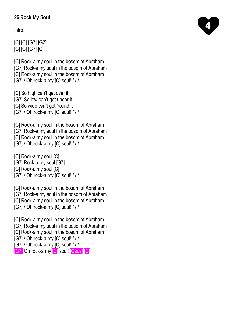## **26 Rock My Soul**

Intro:

# [C] [C] [G7] [G7] [C] [C] [G7] [C]

[C] Rock-a my soul in the bosom of Abraham [G7] Rock-a my soul in the bosom of Abraham [C] Rock-a my soul in the bosom of Abraham [G7] / Oh rock-a my [C] soul! / / /

[C] So high can't get over it [G7] So low can't get under it [C] So wide can't get 'round it [G7] / Oh rock-a my [C] soul! / / /

[C] Rock-a my soul in the bosom of Abraham [G7] Rock-a my soul in the bosom of Abraham [C] Rock-a my soul in the bosom of Abraham [G7] / Oh rock-a my [C] soul! / / /

[C] Rock-a my soul [C] [G7] Rock-a my soul [G7] [C] Rock-a my soul [C] [G7] / Oh rock-a my [C] soul! / / /

[C] Rock-a my soul in the bosom of Abraham [G7] Rock-a my soul in the bosom of Abraham [C] Rock-a my soul in the bosom of Abraham [G7] / Oh rock-a my [C] soul! / / /

[C] Rock-a my soul in the bosom of Abraham [G7] Rock-a my soul in the bosom of Abraham [C] Rock-a my soul in the bosom of Abraham [G7] / Oh rock-a my [C] soul! / / / [G7] / Oh rock-a my [C] soul! / / / **[G7] Oh rock-a my [C] soul! [Csus] [C]** 

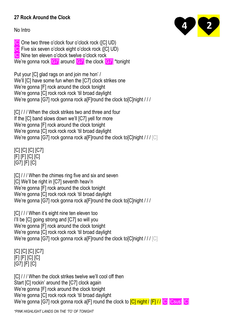#### **27 Rock Around the Clock**

No Intro



[C] One two three o'clock four o'clock rock ([C] UD) [C] Five six seven o'clock eight o'clock rock ([C] UD) [C] Nine ten eleven o'clock twelve o'clock rock We're gonna rock [G7] around [G7] the clock [G7] \*tonight

Put your [C] glad rags on and join me hon' / We'll [C] have some fun when the [C7] clock strikes one We're gonna [F] rock around the clock tonight We're gonna [C] rock rock rock 'til broad daylight We're gonna [G7] rock gonna rock a[F]round the clock to[C]night / / /

[C] / / / When the clock strikes two and three and four If the [C] band slows down we'll [C7] yell for more We're gonna [F] rock around the clock tonight We're gonna [C] rock rock rock 'til broad daylight We're gonna [G7] rock gonna rock a[F]round the clock to[C]night /// [C]

[C] [C] [C] [C7] [F] [F] [C] [C] [G7] [F] [C]

[C] / / / When the chimes ring five and six and seven [C] We'll be right in [C7] seventh heav'n We're gonna [F] rock around the clock tonight We're gonna [C] rock rock rock 'til broad daylight We're gonna [G7] rock gonna rock a[F]round the clock to[C]night ///

[C] / / / When it's eight nine ten eleven too I'll be [C] going strong and [C7] so will you We're gonna [F] rock around the clock tonight We're gonna [C] rock rock rock 'til broad daylight We're gonna [G7] rock gonna rock alfeiround the clock to Clnight /// [C]

[C] [C] [C] [C7] [F] [F] [C] [C] [G7] [F] [C]

[C] / / / When the clock strikes twelve we'll cool off then Start [C] rockin' around the [C7] clock again We're gonna [F] rock around the clock tonight We're gonna [C] rock rock rock 'til broad daylight We're gonna [G7] rock gonna rock a[F] round the clock to **[C] night / [F] / / [C] Csus]** [C]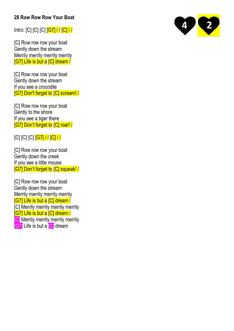#### **28 Row Row Row Your Boat**

Intro: [C] [C] [C] [G7] / / [C] / /

[C] Row row row your boat Gently down the stream Merrily merrily merrily merrily [G7] Life is but a [C] dream /

[C] Row row row your boat Gently down the stream If you see a crocodile [G7] Don't forget to [C] scream! /

[C] Row row row your boat Gently to the shore If you see a tiger there [G7] Don't forget to [C] roar! /

[C] [C] [C] [G7] / / [C] / /

[C] Row row row your boat Gently down the creek If you see a little mouse [G7] Don't forget to [C] squeak! /

[C] Row row row your boat Gently down the stream Merrily merrily merrily merrily [G7] Life is but a [C] dream / [C] Merrily merrily merrily merrily [G7] Life is but a [C] dream / **[C]** Merrily merrily merrily merrily **[G7]** Life is but a **[C]** dream

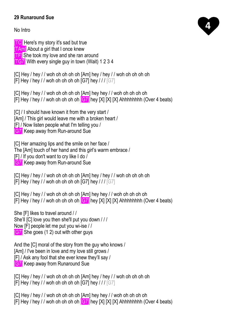#### **29 Runaround Sue**

No Intro

**TC** Here's my story it's sad but true

**TAm** About a girl that I once knew

**TF** She took my love and she ran around

**TG7** With every single guy in town (Wait) 1 2 3 4

[C] Hey / hey / / woh oh oh oh oh [Am] hey / hey / / woh oh oh oh oh [F] Hey / hey / / woh oh oh oh oh [G7] hey / / / [G7]

[C] Hey / hey / / woh oh oh oh oh [Am] hey hey / / woh oh oh oh oh [F] Hey / hey / / woh oh oh oh oh  $[G7]$  hey [X] [X]  $[X]$  Ahhhhhhhh (Over 4 beats)

[C] / I should have known it from the very start / [Am] / This girl would leave me with a broken heart / [F] / Now listen people what I'm telling you / **[G7]** Keep away from Run-around Sue

[C] Her amazing lips and the smile on her face / The [Am] touch of her hand and this girl's warm embrace / [F] / If you don't want to cry like I do / **[G7]** Keep away from Run-around Sue

[C] Hey / hey / / woh oh oh oh oh [Am] hey / hey / / woh oh oh oh oh oh [F] Hey / hey // woh oh oh oh oh [G7] hey /// [G7]

[C] Hey / hey / / woh oh oh oh oh [Am] hey hey / / woh oh oh oh oh [F] Hey / hey / / woh oh oh oh oh  $\overline{G7}$  hey [X] [X] [X] Ahhhhhhhh (Over 4 beats)

She [F] likes to travel around / / She'll [C] love you then she'll put you down / / / Now [F] people let me put you wi-ise / / **[G7]** She goes (1 2) out with other guys

And the [C] moral of the story from the guy who knows / [Am] / I've been in love and my love still grows / [F] / Ask any fool that she ever knew they'll say / **[G7]** Keep away from Runaround Sue

[C] Hey / hey / / woh oh oh oh oh [Am] hey / hey / / woh oh oh oh oh oh [F] Hey / hey / / woh oh oh oh oh [G7] hey / / / [G7]

[C] Hey / hey / / woh oh oh oh oh [Am] hey hey / / woh oh oh oh oh oh [F] Hey / hey / / woh oh oh oh oh  $\overline{G7}$  hey [X] [X] [X] Ahhhhhhhh (Over 4 beats)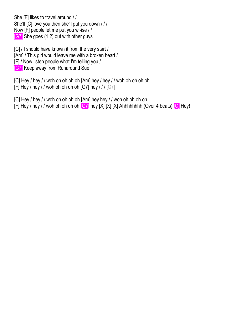She [F] likes to travel around / / She'll [C] love you then she'll put you down / / / Now [F] people let me put you wi-ise / / **[G7]** She goes (1 2) out with other guys

[C] / I should have known it from the very start / [Am] / This girl would leave me with a broken heart / [F] / Now listen people what I'm telling you / **[G7]** Keep away from Runaround Sue

[C] Hey / hey / / woh oh oh oh oh [Am] hey / hey / / woh oh oh oh oh oh [F] Hey / hey / / woh oh oh oh oh [G7] hey / / /  $[G7]$ 

[C] Hey / hey / / woh oh oh oh oh [Am] hey hey / / woh oh oh oh oh oh [F] Hey / hey / / woh oh oh oh oh  $[G7]$  hey [X] [X] [X] Ahhhhhhhh (Over 4 beats)  $[G]$  Hey!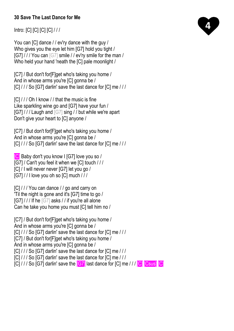#### **30 Save The Last Dance for Me**

Intro: [C] [C] [C] [C] / / /

You can [C] dance / / ev'ry dance with the guy / Who gives you the eye let him [G7] hold you tight / [G7] / / / You can [G7] smile / / ev'ry smile for the man / Who held your hand 'neath the [C] pale moonlight /

[C7] / But don't for[F]get who's taking you home / And in whose arms you're [C] gonna be / [C] / / / So [G7] darlin' save the last dance for [C] me / / /

[C] / / / Oh I know / / that the music is fine Like sparkling wine go and [G7] have your fun / [G7] / / / Laugh and [G7] sing / / but while we're apart Don't give your heart to [C] anyone /

[C7] / But don't for[F]get who's taking you home / And in whose arms you're [C] gonna be / [C] / / / So [G7] darlin' save the last dance for [C] me / / /

[C] Baby don't you know I [G7] love you so / [G7] / Can't you feel it when we [C] touch / / / [C] / I will never never [G7] let you go / [G7] / / I love you oh so [C] much / / /

[C] / / / You can dance / / go and carry on 'Til the night is gone and it's [G7] time to go / [G7] / / / If he [G7] asks / / if you're all alone Can he take you home you must [C] tell him no /

[C7] / But don't for[F]get who's taking you home / And in whose arms you're [C] gonna be / [C] / / / So [G7] darlin' save the last dance for [C] me / / / [C7] / But don't for [F]get who's taking you home / And in whose arms you're [C] gonna be / [C] / / / So [G7] darlin' save the last dance for [C] me / / / [C] / / / So [G7] darlin' save the last dance for [C] me / / / [C] / / / So [G7] darlin' save the **[G7]** last dance for [C] me / / / **[C] Csus]** [C]

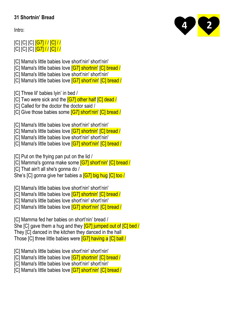## **31 Shortnin' Bread**

Intro:



[C] [C] [C] [G7] / / [C] / / [C] [C] [C] [G7] / / [C] / /

[C] Mama's little babies love short'nin' short'nin'

- [C] Mama's little babies love [G7] shortnin' [C] bread /
- [C] Mama's little babies love short'nin' short'nin'
- [C] Mama's little babies love **[G7] short'nin' [C] bread /**

[C] Three lil' babies lyin' in bed /

- [C] Two were sick and the **[G7] other half [C] dead /**
- [C] Called for the doctor the doctor said /
- [C] Give those babies some **[G7] short'nin' [C] bread /**

[C] Mama's little babies love short'nin' short'nin'

[C] Mama's little babies love [G7] shortnin' [C] bread /

- [C] Mama's little babies love short'nin' short'nin'
- [C] Mama's little babies love **[G7] short'nin' [C] bread /**

[C] Put on the frying pan put on the lid /

- [C] Mamma's gonna make some [G7] short'nin' [C] bread /
- [C] That ain't all she's gonna do /

She's [C] gonna give her babies a **[G7] big hug [C] too** /

[C] Mama's little babies love short'nin' short'nin'

- [C] Mama's little babies love **[G7] shortnin' [C] bread /**
- [C] Mama's little babies love short'nin' short'nin'
- [C] Mama's little babies love **[G7] short'nin' [C] bread /**

[C] Mamma fed her babies on short'nin' bread / She [C] gave them a hug and they **[G7] jumped out of [C] bed** / They [C] danced in the kitchen they danced in the hall Those [C] three little babies were [G7] having a [C] ball /

[C] Mama's little babies love short'nin' short'nin'

[C] Mama's little babies love [G7] shortnin' [C] bread /

- [C] Mama's little babies love short'nin' short'nin'
- [C] Mama's little babies love **[G7] short'nin' [C] bread /**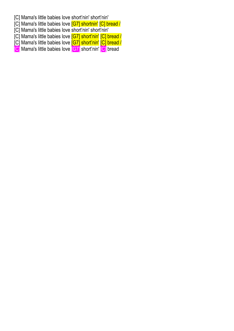- [C] Mama's little babies love short'nin' short'nin'
- [C] Mama's little babies love [G7] shortnin' [C] bread /
- [C] Mama's little babies love short'nin' short'nin'
- [C] Mama's little babies love [G7] short'nin' [C] bread /
- [C] Mama's little babies love [G7] short'nin' [C] bread /
- [C] Mama's little babies love [G7] short'nin' [C] bread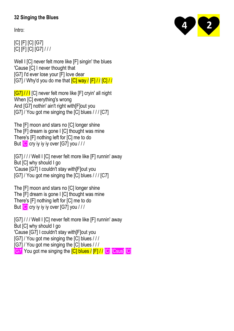#### **32 Singing the Blues**

Intro:

[C] [F] [C] [G7] [C] [F] [C] [G7] / / /

Well I [C] never felt more like [F] singin' the blues 'Cause [C] I never thought that [G7] I'd ever lose your [F] love dear [G7] / Why'd you do me that  $\overline{C}$  way /  $\overline{F}$  / /  $\overline{C}$  / /

[G7] / / I [C] never felt more like [F] cryin' all night When [C] everything's wrong And [G7] nothin' ain't right with[F]out you [G7] / You got me singing the [C] blues / / / [C7]

The [F] moon and stars no [C] longer shine The [F] dream is gone I [C] thought was mine There's [F] nothing left for [C] me to do But **[C]** cry iy iy iy over [G7] you ///

[G7] / / / Well I [C] never felt more like [F] runnin' away But [C] why should I go 'Cause [G7] I couldn't stay with[F]out you [G7] / You got me singing the [C] blues / / / [C7]

The [F] moon and stars no [C] longer shine The [F] dream is gone I [C] thought was mine There's [F] nothing left for [C] me to do But **[C]** cry iy iy iy over [G7] you ///

[G7] / / / Well I [C] never felt more like [F] runnin' away But [C] why should I go 'Cause [G7] I couldn't stay with[F]out you [G7] / You got me singing the [C] blues / / / [G7] / You got me singing the [C] blues / / / **[G7]** You got me singing the **[C] blues / [F] / / [C] [Csus] [C]** 

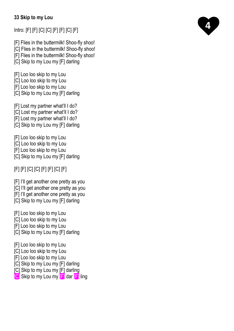#### **33 Skip to my Lou**

Intro: [F] [F] [C] [C] [F] [F] [C] [F]

[F] Flies in the buttermilk! Shoo-fly shoo!

[C] Flies in the buttermilk! Shoo-fly shoo!

[F] Flies in the buttermilk! Shoo-fly shoo!

[C] Skip to my Lou my [F] darling

[F] Loo loo skip to my Lou

[C] Loo loo skip to my Lou

[F] Loo loo skip to my Lou

[C] Skip to my Lou my [F] darling

[F] Lost my partner what'll I do?

[C] Lost my partner what'll I do?

[F] Lost my partner what'll I do?

[C] Skip to my Lou my [F] darling

[F] Loo loo skip to my Lou

[C] Loo loo skip to my Lou

[F] Loo loo skip to my Lou

[C] Skip to my Lou my [F] darling

[F] [F] [C] [C] [F] [F] [C] [F]

[F] I'll get another one pretty as you

[C] I'll get another one pretty as you

[F] I'll get another one pretty as you

[C] Skip to my Lou my [F] darling

[F] Loo loo skip to my Lou

[C] Loo loo skip to my Lou

[F] Loo loo skip to my Lou

[C] Skip to my Lou my [F] darling

[F] Loo loo skip to my Lou

[C] Loo loo skip to my Lou

[F] Loo loo skip to my Lou

[C] Skip to my Lou my [F] darling

[C] Skip to my Lou my [F] darling

[C] Skip to my Lou my [F] dar [F] ling

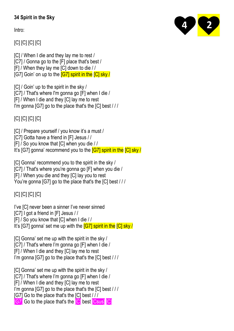# **34 Spirit in the Sky**

Intro:

[C] [C] [C] [C]

- [C] / When I die and they lay me to rest / [C7] / Gonna go to the [F] place that's best /
- [F] / When they lay me [C] down to die / /
- [G7] Goin' on up to the **[G7] spirit in the [C] sky/**

[C] / Goin' up to the spirit in the sky / [C7] / That's where I'm gonna go [F] when I die / [F] / When I die and they [C] lay me to rest I'm gonna [G7] go to the place that's the [C] best / / /

[C] [C] [C] [C]

- [C] / Prepare yourself / you know it's a must /
- [C7] Gotta have a friend in [F] Jesus / /
- [F] / So you know that [C] when you die / /
- It's [G7] gonna' recommend you to the **[G7] spirit in the [C] sky /**

[C] Gonna' recommend you to the spirit in the sky /

[C7] / That's where you're gonna go [F] when you die /

[F] / When you die and they [C] lay you to rest

You're gonna [G7] go to the place that's the [C] best / / /

[C] [C] [C] [C]

I've [C] never been a sinner I've never sinned

[C7] I got a friend in [F] Jesus / /

[F] / So you know that [C] when I die / /

It's [G7] gonna' set me up with the **[G7] spirit in the [C] sky /** 

[C] Gonna' set me up with the spirit in the sky / [C7] / That's where I'm gonna go [F] when I die / [F] / When I die and they [C] lay me to rest I'm gonna [G7] go to the place that's the [C] best / / /

[C] Gonna' set me up with the spirit in the sky / [C7] / That's where I'm gonna go [F] when I die / [F] / When I die and they [C] lay me to rest I'm gonna [G7] go to the place that's the [C] best / / / [G7] Go to the place that's the [C] best / / / **[G7]** Go to the place that's the **[C]** best **[Csus] [C]** 

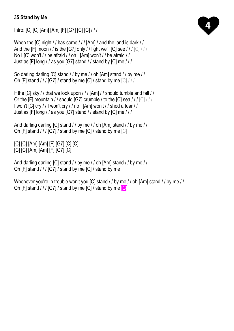#### **35 Stand by Me**

Intro: [C] [C] [Am] [Am] [F] [G7] [C] [C] / / /

When the [C] night // has come /// [Am] / and the land is dark // And the [F] moon // is the [G7] only // light we'll [C] see ///  $\lceil$  [C]  $/$  // No I [C] won't / / be afraid / / oh I [Am] won't / / be afraid / / Just as [F] long / / as you [G7] stand / / stand by [C] me / / /

```
So darling darling [C] stand / / by me / / oh [Am] stand / / by me / /
Oh [F] stand / / / [G7] / stand by me [C] / stand by me [C] / / /
```

```
If the [C] sky / / that we look upon / / / [Am] / / should tumble and fall / /
Or the [F] mountain / / should [G7] crumble / to the [C] sea / / / [C] / / /
I won't [C] cry / / I won't cry / / no I [Am] won't / / shed a tear / /
Just as [F] long / / as you [G7] stand / / stand by [C] me / / /
```

```
And darling darling [C] stand / / by me / / oh [Am] stand / / by me / /
Oh [F] stand / / / [G7] / stand by me [C] / stand by me [C]
```
[C] [C] [Am] [Am] [F] [G7] [C] [C] [C] [C] [Am] [Am] [F] [G7] [C]

```
And darling darling [C] stand / / by me / / oh [Am] stand / / by me / /
Oh [F] stand / / / [G7] / stand by me [C] / stand by me
```
Whenever you're in trouble won't you [C] stand / / by me / / oh [Am] stand / / by me / / Oh [F] stand  $11/$  [G7] / stand by me [C] / stand by me  $\boxed{C}$ 

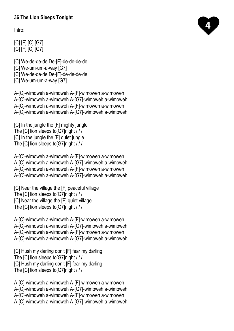#### **36 The Lion Sleeps Tonight**

Intro:

[C] [F] [C] [G7] [C] [F] [C] [G7]

- [C] We-de-de-de De-[F]-de-de-de-de [C] We-um-um-a-way [G7] [C] We-de-de-de De-[F]-de-de-de-de
- [C] We-um-um-a-way [G7]

A-[C]-wimoweh a-wimoweh A-[F]-wimoweh a-wimoweh A-[C]-wimoweh a-wimoweh A-[G7]-wimoweh a-wimoweh A-[C]-wimoweh a-wimoweh A-[F]-wimoweh a-wimoweh A-[C]-wimoweh a-wimoweh A-[G7]-wimoweh a-wimoweh

[C] In the jungle the [F] mighty jungle The [C] lion sleeps to[G7]night / / / [C] In the jungle the [F] quiet jungle The [C] lion sleeps to[G7]night / / /

A-[C]-wimoweh a-wimoweh A-[F]-wimoweh a-wimoweh A-[C]-wimoweh a-wimoweh A-[G7]-wimoweh a-wimoweh A-[C]-wimoweh a-wimoweh A-[F]-wimoweh a-wimoweh A-[C]-wimoweh a-wimoweh A-[G7]-wimoweh a-wimoweh

```
[C] Near the village the [F] peaceful village
The [C] lion sleeps to[G7]night / / /
[C] Near the village the [F] quiet village
The [C] lion sleeps to[G7]night / / /
```
A-[C]-wimoweh a-wimoweh A-[F]-wimoweh a-wimoweh A-[C]-wimoweh a-wimoweh A-[G7]-wimoweh a-wimoweh A-[C]-wimoweh a-wimoweh A-[F]-wimoweh a-wimoweh A-[C]-wimoweh a-wimoweh A-[G7]-wimoweh a-wimoweh

[C] Hush my darling don't [F] fear my darling The [C] lion sleeps to[G7]night / / / [C] Hush my darling don't [F] fear my darling The [C] lion sleeps to[G7]night / / /

A-[C]-wimoweh a-wimoweh A-[F]-wimoweh a-wimoweh A-[C]-wimoweh a-wimoweh A-[G7]-wimoweh a-wimoweh A-[C]-wimoweh a-wimoweh A-[F]-wimoweh a-wimoweh A-[C]-wimoweh a-wimoweh A-[G7]-wimoweh a-wimoweh

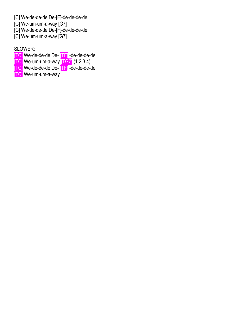- [C] We-de-de-de De-[F]-de-de-de-de
- [C] We-um-um-a-way [G7]
- [C] We-de-de-de De-[F]-de-de-de-de
- [C] We-um-um-a-way [G7]

SLOWER:

- [TC] We-de-de-de De- [TF] -de-de-de-de
- $\overline{[\text{TC}]}$  We-um-um-a-way  $\overline{[\text{TG}]}$  (1 2 3 4)
- [TC] We-de-de-de De- [TF] -de-de-de-de
- TC] We-um-um-a-way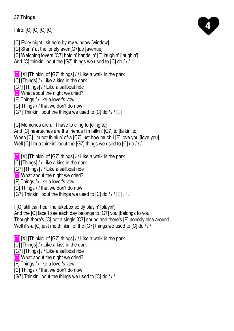## **37 Things**

Intro: [C] [C] [C] [C]

[C] Ev'ry night I sit here by my window [window]

[C] Starin' at the lonely aven[G7]ue [avenue]

[C] Watching lovers [C7] holdin' hands 'n' [F] laughin' [laughin']

And [C] thinkin' 'bout the [G7] things we used to [C] do / / /

[C] [X] [Thinkin' of [G7] things] / / Like a walk in the park

[C] [Things] / / Like a kiss in the dark

[G7] [Things] / / Like a sailboat ride

**[C]** What about the night we cried?

[F] Things / / like a lover's vow

[C] Things / / that we don't do now

[G7] Thinkin' 'bout the things we used to [C] do /// [C]

[C] Memories are all I have to cling to [cling to]

And [C] heartaches are the friends I'm talkin' [G7] to [talkin' to] When [C] I'm not thinkin' of-a [C7] just how much I [F] love you [love you] Well [C] I'm-a thinkin' 'bout the [G7] things we used to [C] do / / /

[C] [X] [Thinkin' of [G7] things] / / Like a walk in the park

[C] [Things] / / Like a kiss in the dark

[G7] [Things] / / Like a sailboat ride

**[C]** What about the night we cried?

[F] Things / / like a lover's vow

[C] Things / / that we don't do now

[G7] Thinkin' 'bout the things we used to  $|C|$  do  $/$  /  $/$   $|C|$  /  $/$  /

I [C] still can hear the jukebox softly playin' [playin']

And the [C] face I see each day belongs to [G7] you [belongs to you] Though there's [C] not a single [C7] sound and there's [F] nobody else around Well it's-a [C] just me thinkin' of the [G7] things we used to [C] do ///

[C] [X] [Thinkin' of [G7] things] / / Like a walk in the park

[C] [Things] / / Like a kiss in the dark

[G7] [Things] / / Like a sailboat ride

**[C]** What about the night we cried?

[F] Things / / like a lover's vow

[C] Things / / that we don't do now

[G7] Thinkin' 'bout the things we used to [C] do / / /

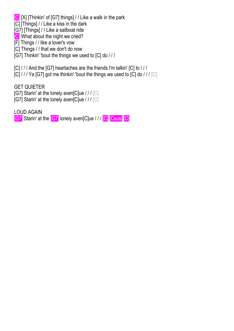[C] [X] [Thinkin' of [G7] things] / / Like a walk in the park

[C] [Things] / / Like a kiss in the dark

[G7] [Things] / / Like a sailboat ride

[C] What about the night we cried?

[F] Things / / like a lover's vow

[C] Things / / that we don't do now

[G7] Thinkin' 'bout the things we used to [C] do / / /

[C] / / / And the [G7] heartaches are the friends I'm talkin' [C] to / / /

 $[C]$  / / / Ya [G7] got me thinkin' 'bout the things we used to  $[C]$  do / / /  $[C]$ 

GET QUIETER

- [G7] Starin' at the lonely aven[C]ue / / / [C]
- [G7] Starin' at the lonely aven[C]ue / / / [C]

LOUD AGAIN

[G7] Starin' at the [G7] lonely aven[C]ue / / / [C] [Csus] [C]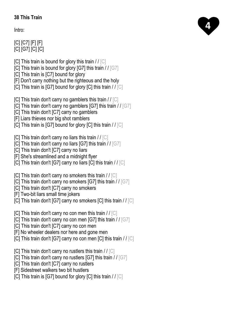#### **38 This Train**

Intro:

# [C] [C7] [F] [F] [C] [G7] [C] [C]

- [C] This train is bound for glory this train  $//$  [C]
- [C] This train is bound for glory [G7] this train / / [G7]
- [C] This train is [C7] bound for glory
- [F] Don't carry nothing but the righteous and the holy
- [C] This train is [G7] bound for glory [C] this train  $//$  [C]
- [C] This train don't carry no gamblers this train  $//$  [C]
- [C] This train don't carry no gamblers [G7] this train / / [G7]
- [C] This train don't [C7] carry no gamblers
- [F] Liars thieves nor big shot ramblers
- [C] This train is [G7] bound for glory [C] this train / / [C]
- [C] This train don't carry no liars this train  $\ell / [C]$
- [C] This train don't carry no liars [G7] this train / / [G7]
- [C] This train don't [C7] carry no liars
- [F] She's streamlined and a midnight flyer
- [C] This train don't [G7] carry no liars [C] this train / / [C]
- $ICI$  This train don't carry no smokers this train // $ICI$
- [C] This train don't carry no smokers [G7] this train / / [G7]
- [C] This train don't [C7] carry no smokers
- [F] Two-bit liars small time jokers
- [C] This train don't [G7] carry no smokers [C] this train / / [C]
- [C] This train don't carry no con men this train / / [C]
- [C] This train don't carry no con men [G7] this train  $//$  [G7]
- [C] This train don't [C7] carry no con men
- [F] No wheeler dealers nor here and gone men
- [C] This train don't [G7] carry no con men [C] this train / / [C]
- [C] This train don't carry no rustlers this train / / [C]
- [C] This train don't carry no rustlers [G7] this train / / [G7]
- [C] This train don't [C7] carry no rustlers
- [F] Sidestreet walkers two bit hustlers
- [C] This train is [G7] bound for glory [C] this train  $//$  [C]

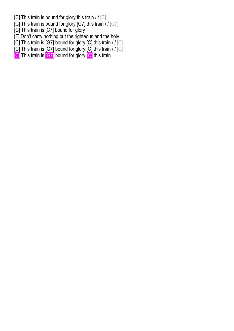- [C] This train is bound for glory this train  $II$  [C]
- [C] This train is bound for glory [G7] this train  $1/[G7]$
- [C] This train is [C7] bound for glory
- [F] Don't carry nothing but the righteous and the holy
- [C] This train is [G7] bound for glory [C] this train // [C]
- $[C]$  This train is  $[G7]$  bound for glory  $[C]$  this train // $[C]$
- [C] This train is **[G7]** bound for glory **[C]** this train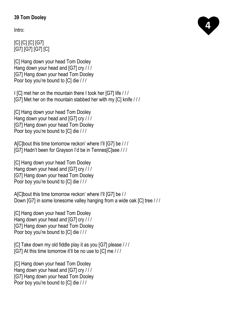## **39 Tom Dooley**

Intro:

# [C] [C] [C] [G7] [G7] [G7] [G7] [C]

[C] Hang down your head Tom Dooley Hang down your head and [G7] cry / / / [G7] Hang down your head Tom Dooley Poor boy you're bound to [C] die / / /

I [C] met her on the mountain there I took her [G7] life / / / [G7] Met her on the mountain stabbed her with my [C] knife / / /

[C] Hang down your head Tom Dooley Hang down your head and [G7] cry / / / [G7] Hang down your head Tom Dooley Poor boy you're bound to [C] die / / /

A[C]bout this time tomorrow reckon' where I'll [G7] be / / / [G7] Hadn't been for Grayson I'd be in Tennes[C]see / / /

[C] Hang down your head Tom Dooley Hang down your head and [G7] cry / / / [G7] Hang down your head Tom Dooley Poor boy you're bound to [C] die / / /

A[C]bout this time tomorrow reckon' where I'll [G7] be / / Down [G7] in some lonesome valley hanging from a wide oak [C] tree / / /

[C] Hang down your head Tom Dooley Hang down your head and [G7] cry / / / [G7] Hang down your head Tom Dooley Poor boy you're bound to [C] die / / /

[C] Take down my old fiddle play it as you [G7] please / / / [G7] At this time tomorrow it'll be no use to [C] me / / /

[C] Hang down your head Tom Dooley Hang down your head and [G7] cry / / / [G7] Hang down your head Tom Dooley Poor boy you're bound to [C] die ///

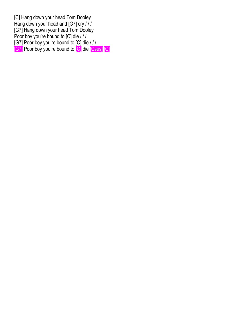[C] Hang down your head Tom Dooley Hang down your head and [G7] cry / // [G7] Hang down your head Tom Dooley Poor boy you're bound to [C] die / / / [G7] Poor boy you're bound to [C] die / / / [G7] Poor boy you're bound to <sup>[C]</sup> die [Csus] [C]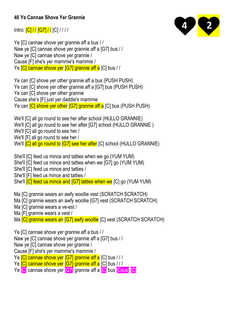#### **40 Ye Cannae Shove Yer Grannie**

Intro:  $\frac{C}{|C|}/\sqrt{G7}/\sqrt{C}$ 



Ye [C] cannae shove yer grannie aff a bus / / Naw ye [C] cannae shove yer grannie aff a [G7] bus / / Naw ye [C] cannae shove yer grannie / Cause [F] she's yer mammie's mammie / Ye **[C] cannae shove yer [G7] grannie aff a** [C] bus / /

Ye can [C] shove yer other grannie aff a bus (PUSH PUSH) Ye can [C] shove yer other grannie aff a [G7] bus (PUSH PUSH) Ye can [C] shove yer other grannie Cause she's [F] just yer daddie's mammie Ye can **ICI shove ver other IG71 grannie aff a** ICI bus (PUSH PUSH)

We'll [C] all go round to see her after school (HULLO GRANNIE)

We'll [C] all go round to see her after [G7] school (HULLO GRANNIE)

We'll [C] all go round to see her /

We'll [F] all go round to see her /

We'll **[C] all go round to [G7] see her after** [C] school (HULLO GRANNIE)

She'll [C] feed us mince and tatties when we go (YUM YUM)

She'll [C] feed us mince and tatties when we [G7] go (YUM YUM)

She'll [C] feed us mince and tatties /

She'll [F] feed us mince and tatties /

She'll **[C] feed us mince and [G7] tatties when we** [C] go (YUM YUM)

Ma [C] grannie wears an awfy woollie vest (SCRATCH SCRATCH)

Ma [C] grannie wears an awfy woollie [G7] vest (SCRATCH SCRATCH)

Ma [C] grannie wears a ve-est /

Ma [F] grannie wears a vest /

Ma **[C] grannie wears an [G7] awfy woollie** [C] vest (SCRATCH SCRATCH)

Ye [C] cannae shove yer grannie aff a bus / / Naw ye [C] cannae shove yer grannie aff a [G7] bus / / Naw ye [C] cannae shove yer grannie / Cause [F] she's yer mammie's mammie / Ye **[C] cannae shove yer [G7] grannie aff a** [C] bus ///

Ye [C] cannae shove yer [G7] grannie aff a [C] bus ///

Ye **[C]** cannae shove yer **[G7]** grannie aff a **[C]** bus **[Csus]** [C]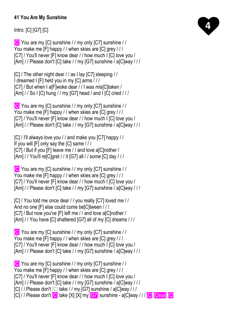#### **41 You Are My Sunshine**

Intro: [C] [G7] [C]

[C] You are my [C] sunshine / / my only [C7] sunshine / / You make me [F] happy / / when skies are [C] grey / / / [C7] / You'll never [F] know dear / / how much I [C] love you / [Am] / / Please don't [C] take / / my [G7] sunshine / a[C]way / / /

[C] / The other night dear / / as I lay [C7] sleeping / / I dreamed I [F] held you in my [C] arms / / / [C7] / But when I a[F]woke dear / / I was mis[C]taken / [Am] / / So I [C] hung / / my [G7] head / and I [C] cried / / /

[C] You are my [C] sunshine / / my only [C7] sunshine / / You make me [F] happy / / when skies are [C] grey / / / [C7] / You'll never [F] know dear / / how much I [C] love you / [Am] / / Please don't [C] take / / my [G7] sunshine / a[C]way / / /

[C] / I'll always love you / / and make you [C7] happy / / If you will [F] only say the [C] same / / / [C7] / But if you [F] leave me / / and love a[C]nother / [Am] / / You'll re[C]gret / / it [G7] all / / some [C] day / / /

[C] You are my [C] sunshine / / my only [C7] sunshine / / You make me [F] happy / / when skies are [C] grey / / / [C7] / You'll never [F] know dear / / how much I [C] love you / [Am] / / Please don't [C] take / / my [G7] sunshine / a[C]way / / /

[C] / You told me once dear / / you really [C7] loved me / / And no one [F] else could come be[C]tween / / / [C7] / But now you've [F] left me / / and love a[C]nother / [Am] / / You have [C] shattered [G7] all of my [C] dreams / / /

[C] You are my [C] sunshine / / my only [C7] sunshine / / You make me [F] happy / / when skies are [C] grey / / / [C7] / You'll never [F] know dear / / how much I [C] love you / [Am] / / Please don't [C] take / / my [G7] sunshine / a[C]way / / /

[C] You are my [C] sunshine / / my only [C7] sunshine / / You make me [F] happy / / when skies are [C] grey / / / [C7] / You'll never [F] know dear / / how much I [C] love you / [Am] / / Please don't [C] take / / my [G7] sunshine / a[C]way / / / [C] / / Please don't [C] take / / my [G7] sunshine / a[C]way / / / [C] / / Please don't [C] take [X] [X] my [G7] sunshine - a[C]way / / / [C] [Csus] [C]

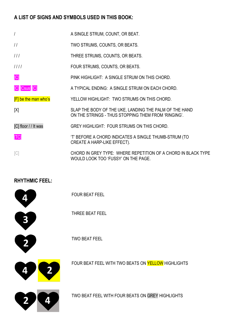#### **A LIST OF SIGNS AND SYMBOLS USED IN THIS BOOK:**

- / A SINGLE STRUM, COUNT, OR BEAT.
- / / TWO STRUMS, COUNTS, OR BEATS.
- / / / THREE STRUMS, COUNTS, OR BEATS.
- / / / / FOUR STRUMS, COUNTS, OR BEATS.

**TELECTION CONTENT** PINK HIGHLIGHT: A SINGLE STRUM ON THIS CHORD.

[C] Csus] C] **A TYPICAL ENDING: A SINGLE STRUM ON EACH CHORD.** 

**F** be the man who's YELLOW HIGHLIGHT: TWO STRUMS ON THIS CHORD.

[X] SLAP THE BODY OF THE UKE, LANDING THE PALM OF THE HAND ON THE STRINGS - THUS STOPPING THEM FROM 'RINGING'.

[C] floor // It was GREY HIGHLIGHT: FOUR STRUMS ON THIS CHORD.

[TC] 'T' BEFORE A CHORD INDICATES A SINGLE THUMB-STRUM (TO CREATE A HARP-LIKE EFFECT).

[C] CHORD IN GREY TYPE: WHERE REPETITION OF A CHORD IN BLACK TYPE WOULD LOOK TOO 'FUSSY' ON THE PAGE.

# **RHYTHMIC FEEL:**

|   | <b>FOUR BEAT FEEL</b>                              |
|---|----------------------------------------------------|
|   | THREE BEAT FEEL                                    |
|   | <b>TWO BEAT FEEL</b>                               |
| 4 | FOUR BEAT FEEL WITH TWO BEATS ON YELLOW HIGHLIGHTS |
|   | TWO BEAT FEEL WITH FOUR BEATS ON GREY HIGHLIGHTS   |